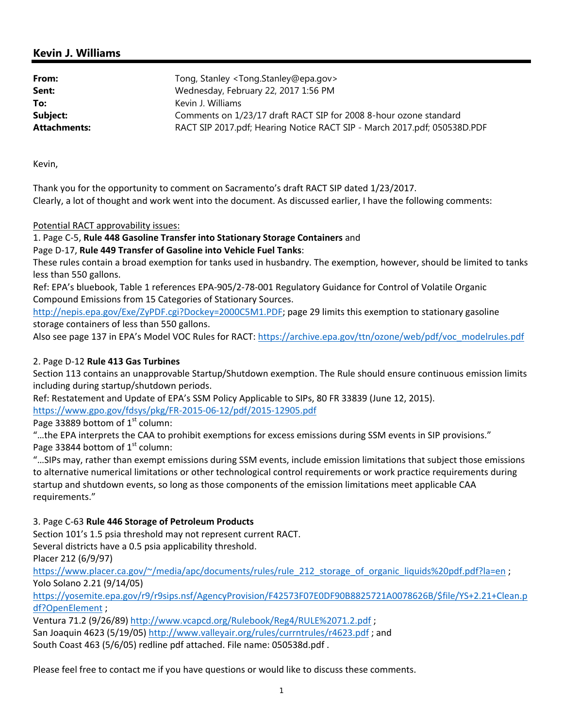## **Kevin J. Williams**

| From:               | Tong, Stanley <tong.stanley@epa.gov></tong.stanley@epa.gov>              |
|---------------------|--------------------------------------------------------------------------|
| Sent:               | Wednesday, February 22, 2017 1:56 PM                                     |
| To:                 | Kevin J. Williams                                                        |
| Subject:            | Comments on 1/23/17 draft RACT SIP for 2008 8-hour ozone standard        |
| <b>Attachments:</b> | RACT SIP 2017.pdf; Hearing Notice RACT SIP - March 2017.pdf; 050538D.PDF |

Kevin,

Thank you for the opportunity to comment on Sacramento's draft RACT SIP dated 1/23/2017. Clearly, a lot of thought and work went into the document. As discussed earlier, I have the following comments:

## Potential RACT approvability issues:

1. Page C‐5, **Rule 448 Gasoline Transfer into Stationary Storage Containers** and

Page D‐17, **Rule 449 Transfer of Gasoline into Vehicle Fuel Tanks**:

These rules contain a broad exemption for tanks used in husbandry. The exemption, however, should be limited to tanks less than 550 gallons.

Ref: EPA's bluebook, Table 1 references EPA‐905/2‐78‐001 Regulatory Guidance for Control of Volatile Organic Compound Emissions from 15 Categories of Stationary Sources.

http://nepis.epa.gov/Exe/ZyPDF.cgi?Dockey=2000C5M1.PDF; page 29 limits this exemption to stationary gasoline storage containers of less than 550 gallons.

Also see page 137 in EPA's Model VOC Rules for RACT: https://archive.epa.gov/ttn/ozone/web/pdf/voc\_modelrules.pdf

## 2. Page D‐12 **Rule 413 Gas Turbines**

Section 113 contains an unapprovable Startup/Shutdown exemption. The Rule should ensure continuous emission limits including during startup/shutdown periods.

Ref: Restatement and Update of EPA's SSM Policy Applicable to SIPs, 80 FR 33839 (June 12, 2015).

https://www.gpo.gov/fdsys/pkg/FR‐2015‐06‐12/pdf/2015‐12905.pdf

Page 33889 bottom of  $1<sup>st</sup>$  column:

"…the EPA interprets the CAA to prohibit exemptions for excess emissions during SSM events in SIP provisions." Page 33844 bottom of  $1<sup>st</sup>$  column:

"…SIPs may, rather than exempt emissions during SSM events, include emission limitations that subject those emissions to alternative numerical limitations or other technological control requirements or work practice requirements during startup and shutdown events, so long as those components of the emission limitations meet applicable CAA requirements."

3. Page C‐63 **Rule 446 Storage of Petroleum Products**

Section 101's 1.5 psia threshold may not represent current RACT.

Several districts have a 0.5 psia applicability threshold.

Placer 212 (6/9/97)

https://www.placer.ca.gov/~/media/apc/documents/rules/rule 212 storage of organic liquids%20pdf.pdf?la=en ; Yolo Solano 2.21 (9/14/05)

https://yosemite.epa.gov/r9/r9sips.nsf/AgencyProvision/F42573F07E0DF90B8825721A0078626B/\$file/YS+2.21+Clean.p df?OpenElement ;

Ventura 71.2 (9/26/89) http://www.vcapcd.org/Rulebook/Reg4/RULE%2071.2.pdf ; San Joaquin 4623 (5/19/05) http://www.valleyair.org/rules/currntrules/r4623.pdf ; and South Coast 463 (5/6/05) redline pdf attached. File name: 050538d.pdf .

Please feel free to contact me if you have questions or would like to discuss these comments.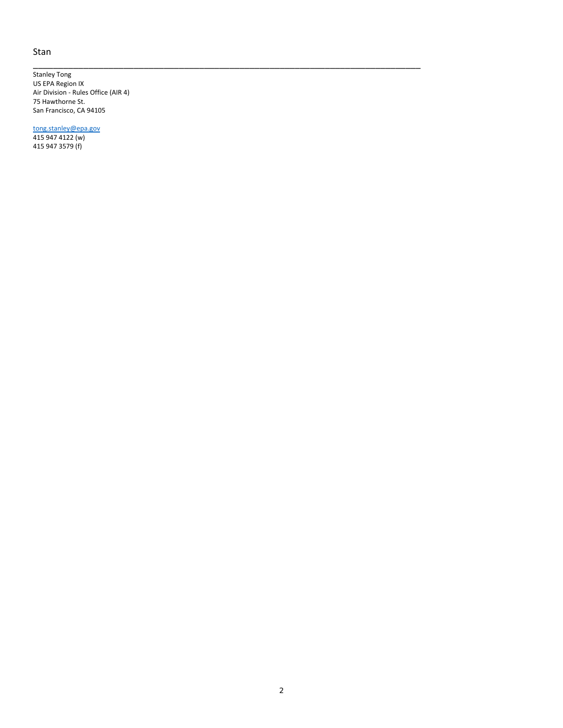## Stan

Stanley Tong US EPA Region IX Air Division ‐ Rules Office (AIR 4) 75 Hawthorne St. San Francisco, CA 94105

\_\_\_\_\_\_\_\_\_\_\_\_\_\_\_\_\_\_\_\_\_\_\_\_\_\_\_\_\_\_\_\_\_\_\_\_\_\_\_\_\_\_\_\_\_\_\_\_\_\_\_\_\_\_\_\_\_\_\_\_\_\_\_\_\_\_\_\_\_\_\_\_\_\_\_\_\_

tong.stanley@epa.gov 415 947 4122 (w) 415 947 3579 (f)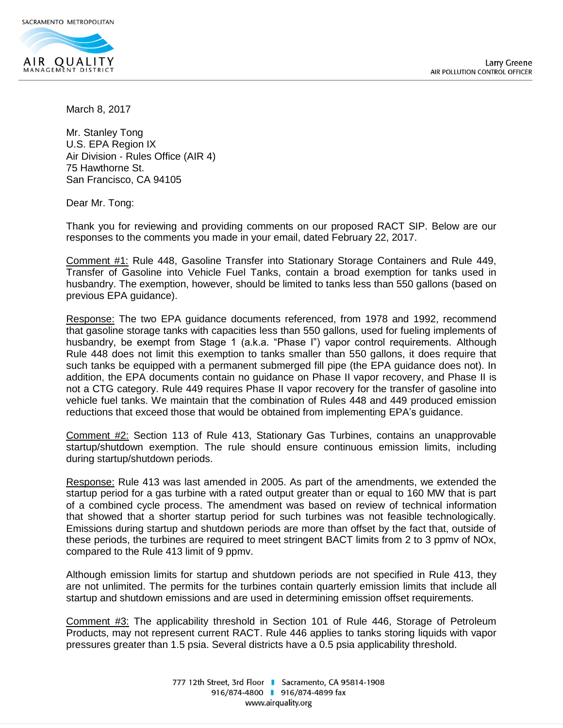

March 8, 2017

Mr. Stanley Tong U.S. EPA Region IX Air Division ‐ Rules Office (AIR 4) 75 Hawthorne St. San Francisco, CA 94105

Dear Mr. Tong:

Thank you for reviewing and providing comments on our proposed RACT SIP. Below are our responses to the comments you made in your email, dated February 22, 2017.

Comment #1: Rule 448, Gasoline Transfer into Stationary Storage Containers and Rule 449, Transfer of Gasoline into Vehicle Fuel Tanks, contain a broad exemption for tanks used in husbandry. The exemption, however, should be limited to tanks less than 550 gallons (based on previous EPA guidance).

Response: The two EPA guidance documents referenced, from 1978 and 1992, recommend that gasoline storage tanks with capacities less than 550 gallons, used for fueling implements of husbandry, be exempt from Stage 1 (a.k.a. "Phase I") vapor control requirements. Although Rule 448 does not limit this exemption to tanks smaller than 550 gallons, it does require that such tanks be equipped with a permanent submerged fill pipe (the EPA guidance does not). In addition, the EPA documents contain no guidance on Phase II vapor recovery, and Phase II is not a CTG category. Rule 449 requires Phase II vapor recovery for the transfer of gasoline into vehicle fuel tanks. We maintain that the combination of Rules 448 and 449 produced emission reductions that exceed those that would be obtained from implementing EPA's guidance.

Comment #2: Section 113 of Rule 413, Stationary Gas Turbines, contains an unapprovable startup/shutdown exemption. The rule should ensure continuous emission limits, including during startup/shutdown periods.

Response: Rule 413 was last amended in 2005. As part of the amendments, we extended the startup period for a gas turbine with a rated output greater than or equal to 160 MW that is part of a combined cycle process. The amendment was based on review of technical information that showed that a shorter startup period for such turbines was not feasible technologically. Emissions during startup and shutdown periods are more than offset by the fact that, outside of these periods, the turbines are required to meet stringent BACT limits from 2 to 3 ppmv of NOx, compared to the Rule 413 limit of 9 ppmv.

Although emission limits for startup and shutdown periods are not specified in Rule 413, they are not unlimited. The permits for the turbines contain quarterly emission limits that include all startup and shutdown emissions and are used in determining emission offset requirements.

Comment #3: The applicability threshold in Section 101 of Rule 446, Storage of Petroleum Products, may not represent current RACT. Rule 446 applies to tanks storing liquids with vapor pressures greater than 1.5 psia. Several districts have a 0.5 psia applicability threshold.